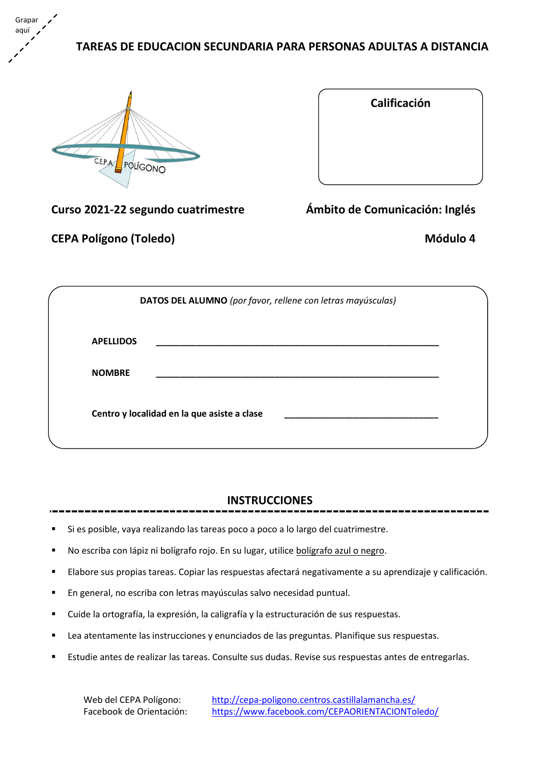# **TAREAS DE EDUCACION SECUNDARIA PARA PERSONAS ADULTAS A DISTANCIA**



Grapar aquí

| Calificación                  |
|-------------------------------|
|                               |
|                               |
|                               |
|                               |
|                               |
| phito de Comunicación: Inglés |

**Curso 2021-22 segundo cuatrimestre** *Ambito d* 

**CEPA Polígono (Toledo) Módulo 4**

|                  | DATOS DEL ALUMNO (por favor, rellene con letras mayúsculas) |
|------------------|-------------------------------------------------------------|
| <b>APELLIDOS</b> |                                                             |
| <b>NOMBRE</b>    |                                                             |
|                  | Centro y localidad en la que asiste a clase                 |
|                  |                                                             |

# **INSTRUCCIONES**

- Si es posible, vaya realizando las tareas poco a poco a lo largo del cuatrimestre.
- No escriba con lápiz ni bolígrafo rojo. En su lugar, utilice bolígrafo azul o negro.
- Elabore sus propias tareas. Copiar las respuestas afectará negativamente a su aprendizaje y calificación.
- En general, no escriba con letras mayúsculas salvo necesidad puntual.
- Cuide la ortografía, la expresión, la caligrafía y la estructuración de sus respuestas.
- Lea atentamente las instrucciones y enunciados de las preguntas. Planifique sus respuestas.
- Estudie antes de realizar las tareas. Consulte sus dudas. Revise sus respuestas antes de entregarlas.

Web del CEPA Polígono: <http://cepa-poligono.centros.castillalamancha.es/> Facebook de Orientación: <https://www.facebook.com/CEPAORIENTACIONToledo/>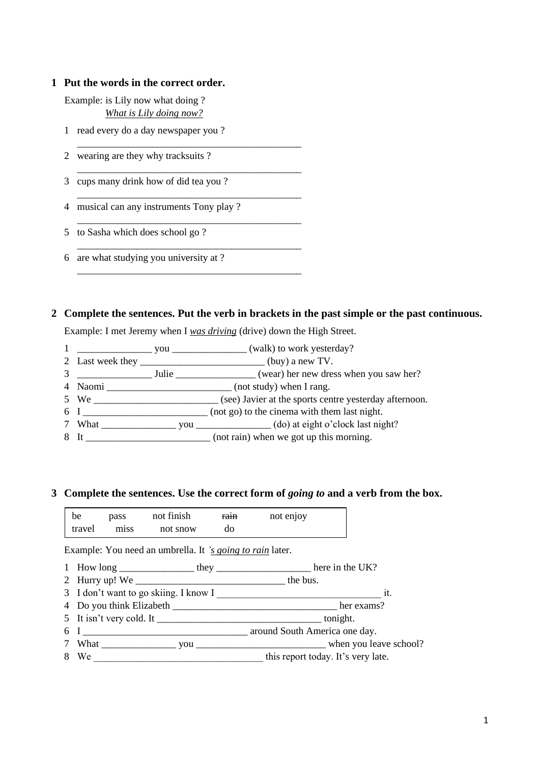## **1 Put the words in the correct order.**

Example: is Lily now what doing ? *What is Lily doing now?*

1 read every do a day newspaper you ?

\_\_\_\_\_\_\_\_\_\_\_\_\_\_\_\_\_\_\_\_\_\_\_\_\_\_\_\_\_\_\_\_\_\_\_\_\_\_\_\_\_\_\_\_\_

\_\_\_\_\_\_\_\_\_\_\_\_\_\_\_\_\_\_\_\_\_\_\_\_\_\_\_\_\_\_\_\_\_\_\_\_\_\_\_\_\_\_\_\_\_

\_\_\_\_\_\_\_\_\_\_\_\_\_\_\_\_\_\_\_\_\_\_\_\_\_\_\_\_\_\_\_\_\_\_\_\_\_\_\_\_\_\_\_\_\_

\_\_\_\_\_\_\_\_\_\_\_\_\_\_\_\_\_\_\_\_\_\_\_\_\_\_\_\_\_\_\_\_\_\_\_\_\_\_\_\_\_\_\_\_\_

\_\_\_\_\_\_\_\_\_\_\_\_\_\_\_\_\_\_\_\_\_\_\_\_\_\_\_\_\_\_\_\_\_\_\_\_\_\_\_\_\_\_\_\_\_

\_\_\_\_\_\_\_\_\_\_\_\_\_\_\_\_\_\_\_\_\_\_\_\_\_\_\_\_\_\_\_\_\_\_\_\_\_\_\_\_\_\_\_\_\_

2 wearing are they why tracksuits ?

3 cups many drink how of did tea you ?

4 musical can any instruments Tony play ?

- 5 to Sasha which does school go ?
- 6 are what studying you university at ?

## **2 Complete the sentences. Put the verb in brackets in the past simple or the past continuous.**

Example: I met Jeremy when I *was driving* (drive) down the High Street.

- 1 \_\_\_\_\_\_\_\_\_\_\_\_\_\_\_ you \_\_\_\_\_\_\_\_\_\_\_\_\_\_\_ (walk) to work yesterday?
- 2 Last week they \_\_\_\_\_\_\_\_\_\_\_\_\_\_\_\_\_\_\_\_\_\_\_\_\_ (buy) a new TV. 3 Julie Julie (wear) her new dress when you saw her?
- 4 Naomi \_\_\_\_\_\_\_\_\_\_\_\_\_\_\_\_\_\_\_\_\_\_\_\_\_ (not study) when I rang.
- 5 We \_\_\_\_\_\_\_\_\_\_\_\_\_\_\_\_\_\_\_\_\_\_\_\_\_ (see) Javier at the sports centre yesterday afternoon.
- 6 I \_\_\_\_\_\_\_\_\_\_\_\_\_\_\_\_\_\_\_\_\_\_\_\_\_ (not go) to the cinema with them last night.
- 7 What \_\_\_\_\_\_\_\_\_\_\_\_\_\_\_ you \_\_\_\_\_\_\_\_\_\_\_\_\_\_\_ (do) at eight o'clock last night?
- 8 It \_\_\_\_\_\_\_\_\_\_\_\_\_\_\_\_\_\_\_\_\_\_\_\_\_\_ (not rain) when we got up this morning.

## **3 Complete the sentences. Use the correct form of** *going to* **and a verb from the box.**

| be     | pass | not finish | rain | not enjoy |  |
|--------|------|------------|------|-----------|--|
| travel | miss | not snow   | do   |           |  |

Example: You need an umbrella. It *'s going to rain* later.

|  | How long | they |  | here in the UK? |  |
|--|----------|------|--|-----------------|--|
|--|----------|------|--|-----------------|--|

- 2 Hurry up! We \_\_\_\_\_\_\_\_\_\_\_\_\_\_\_\_\_\_\_\_\_\_\_\_\_\_\_\_\_\_ the bus.
- 3 I don't want to go skiing. I know I it.
- 4 Do you think Elizabeth \_\_\_\_\_\_\_\_\_\_\_\_\_\_\_\_\_\_\_\_\_\_\_\_\_\_\_\_\_\_\_\_\_ her exams?
- 5 It isn't very cold. It tonight.
- 6 I around South America one day.
- 7 What \_\_\_\_\_\_\_\_\_\_\_\_\_\_\_ you \_\_\_\_\_\_\_\_\_\_\_\_\_\_\_\_\_\_\_\_\_\_\_\_\_\_ when you leave school?
- 8 We \_\_\_\_\_\_\_\_\_\_\_\_\_\_\_\_\_\_\_\_\_\_\_\_\_\_\_\_\_\_\_\_\_\_ this report today. It's very late.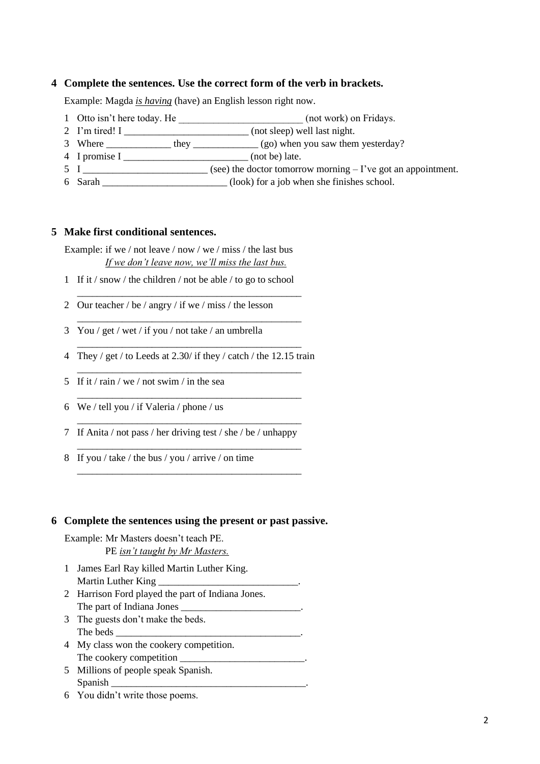## **4 Complete the sentences. Use the correct form of the verb in brackets.**

Example: Magda *is having* (have) an English lesson right now.

- 1 Otto isn't here today. He \_\_\_\_\_\_\_\_\_\_\_\_\_\_\_\_\_\_\_\_\_\_\_\_\_\_\_\_\_\_\_ (not work) on Fridays.
- 2 I'm tired! I \_\_\_\_\_\_\_\_\_\_\_\_\_\_\_\_\_\_\_\_\_\_\_\_\_\_\_ (not sleep) well last night.
- 3 Where \_\_\_\_\_\_\_\_\_\_\_\_\_\_\_\_ they \_\_\_\_\_\_\_\_\_\_\_\_\_\_ (go) when you saw them yesterday?
- 4 I promise I \_\_\_\_\_\_\_\_\_\_\_\_\_\_\_\_\_\_\_\_\_\_\_\_\_ (not be) late.
- $5 \text{ I}$  (see) the doctor tomorrow morning I've got an appointment.
- 6 Sarah \_\_\_\_\_\_\_\_\_\_\_\_\_\_\_\_\_\_\_\_\_\_\_\_\_ (look) for a job when she finishes school.

#### **5 Make first conditional sentences.**

Example: if we / not leave / now / we / miss / the last bus *If we don't leave now, we'll miss the last bus.*

1 If it / snow / the children / not be able / to go to school

\_\_\_\_\_\_\_\_\_\_\_\_\_\_\_\_\_\_\_\_\_\_\_\_\_\_\_\_\_\_\_\_\_\_\_\_\_\_\_\_\_\_\_\_\_

\_\_\_\_\_\_\_\_\_\_\_\_\_\_\_\_\_\_\_\_\_\_\_\_\_\_\_\_\_\_\_\_\_\_\_\_\_\_\_\_\_\_\_\_\_

- 2 Our teacher / be / angry / if we / miss / the lesson
- 3 You / get / wet / if you / not take / an umbrella
- \_\_\_\_\_\_\_\_\_\_\_\_\_\_\_\_\_\_\_\_\_\_\_\_\_\_\_\_\_\_\_\_\_\_\_\_\_\_\_\_\_\_\_\_\_ 4 They / get / to Leeds at 2.30/ if they / catch / the 12.15 train \_\_\_\_\_\_\_\_\_\_\_\_\_\_\_\_\_\_\_\_\_\_\_\_\_\_\_\_\_\_\_\_\_\_\_\_\_\_\_\_\_\_\_\_\_

\_\_\_\_\_\_\_\_\_\_\_\_\_\_\_\_\_\_\_\_\_\_\_\_\_\_\_\_\_\_\_\_\_\_\_\_\_\_\_\_\_\_\_\_\_

\_\_\_\_\_\_\_\_\_\_\_\_\_\_\_\_\_\_\_\_\_\_\_\_\_\_\_\_\_\_\_\_\_\_\_\_\_\_\_\_\_\_\_\_\_

\_\_\_\_\_\_\_\_\_\_\_\_\_\_\_\_\_\_\_\_\_\_\_\_\_\_\_\_\_\_\_\_\_\_\_\_\_\_\_\_\_\_\_\_\_

\_\_\_\_\_\_\_\_\_\_\_\_\_\_\_\_\_\_\_\_\_\_\_\_\_\_\_\_\_\_\_\_\_\_\_\_\_\_\_\_\_\_\_\_\_

- 5 If it / rain / we / not swim / in the sea
- 6 We / tell you / if Valeria / phone / us
- 7 If Anita / not pass / her driving test / she / be / unhappy
- 8 If you / take / the bus / you / arrive / on time

#### **6 Complete the sentences using the present or past passive.**

Example: Mr Masters doesn't teach PE.

PE *isn't taught by Mr Masters.*

- 1 James Earl Ray killed Martin Luther King. Martin Luther King
- 2 Harrison Ford played the part of Indiana Jones. The part of Indiana Jones
- 3 The guests don't make the beds. The beds
- 4 My class won the cookery competition. The cookery competition \_\_\_\_\_\_\_\_\_\_\_\_\_\_\_\_\_\_\_\_\_\_\_\_\_.
- 5 Millions of people speak Spanish. Spanish
- 6 You didn't write those poems.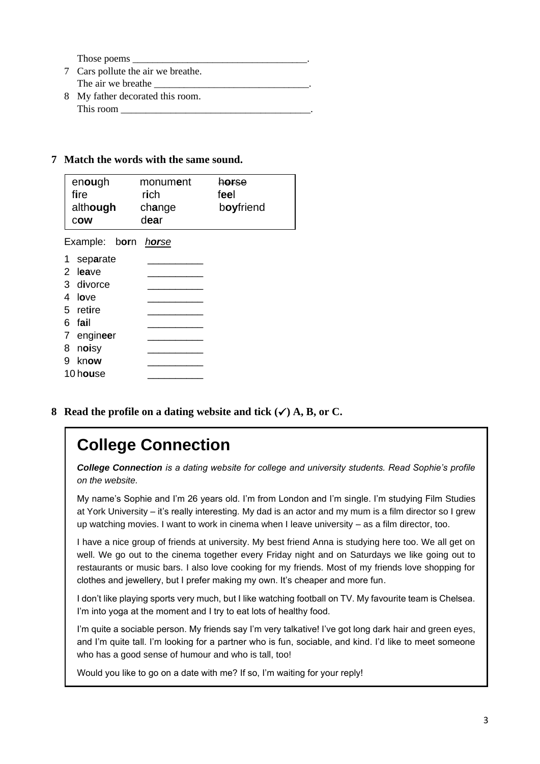Those poems

- 7 Cars pollute the air we breathe. The air we breathe
- 8 My father decorated this room. This room

## **7 Match the words with the same sound.**

| enough<br>fire<br>although<br><b>COW</b> | monum <b>e</b> nt<br>rich<br>change<br>dear | horse<br>feel<br>boyfriend |
|------------------------------------------|---------------------------------------------|----------------------------|
| Example: born                            | horse                                       |                            |
| 1<br>separate                            |                                             |                            |
| 2<br>leave                               |                                             |                            |
| 3 divorce                                |                                             |                            |
| 4<br>love                                |                                             |                            |
| 5.<br>retire                             |                                             |                            |
| fail<br>6                                |                                             |                            |
| engineer<br>7                            |                                             |                            |
| noisy<br>8                               |                                             |                            |
| 9<br>know                                |                                             |                            |
| 10 house                                 |                                             |                            |

**8 Read the profile on a dating website and tick (**✓**) A, B, or C.**

# **College Connection**

*College Connection is a dating website for college and university students. Read Sophie's profile on the website.*

My name's Sophie and I'm 26 years old. I'm from London and I'm single. I'm studying Film Studies at York University – it's really interesting. My dad is an actor and my mum is a film director so I grew up watching movies. I want to work in cinema when I leave university – as a film director, too.

I have a nice group of friends at university. My best friend Anna is studying here too. We all get on well. We go out to the cinema together every Friday night and on Saturdays we like going out to restaurants or music bars. I also love cooking for my friends. Most of my friends love shopping for clothes and jewellery, but I prefer making my own. It's cheaper and more fun.

I don't like playing sports very much, but I like watching football on TV. My favourite team is Chelsea. I'm into yoga at the moment and I try to eat lots of healthy food.

I'm quite a sociable person. My friends say I'm very talkative! I've got long dark hair and green eyes, and I'm quite tall. I'm looking for a partner who is fun, sociable, and kind. I'd like to meet someone who has a good sense of humour and who is tall, too!

Would you like to go on a date with me? If so, I'm waiting for your reply!